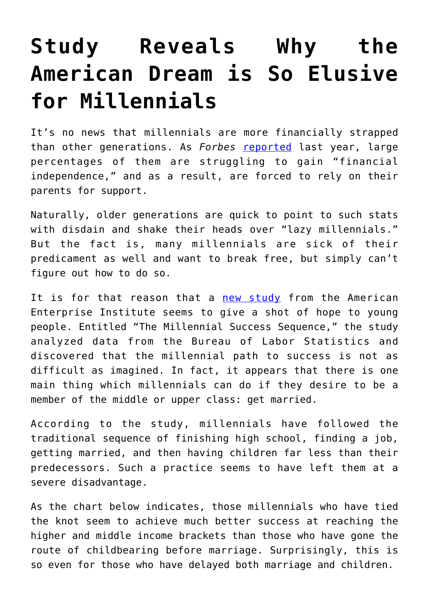## **[Study Reveals Why the](https://intellectualtakeout.org/2017/06/study-reveals-why-the-american-dream-is-so-elusive-for-millennials/) [American Dream is So Elusive](https://intellectualtakeout.org/2017/06/study-reveals-why-the-american-dream-is-so-elusive-for-millennials/) [for Millennials](https://intellectualtakeout.org/2017/06/study-reveals-why-the-american-dream-is-so-elusive-for-millennials/)**

It's no news that millennials are more financially strapped than other generations. As *Forbes* [reported](https://www.forbes.com/sites/vanessamcgrady/2016/10/07/adulting/#4f4b166a53c4) last year, large percentages of them are struggling to gain "financial independence," and as a result, are forced to rely on their parents for support.

Naturally, older generations are quick to point to such stats with disdain and shake their heads over "lazy millennials." But the fact is, many millennials are sick of their predicament as well and want to break free, but simply can't figure out how to do so.

It is for that reason that a [new study](http://www.aei.org/wp-content/uploads/2017/06/IFS-MillennialSuccessSequence-Final.pdf) from the American Enterprise Institute seems to give a shot of hope to young people. Entitled "The Millennial Success Sequence," the study analyzed data from the Bureau of Labor Statistics and discovered that the millennial path to success is not as difficult as imagined. In fact, it appears that there is one main thing which millennials can do if they desire to be a member of the middle or upper class: get married.

According to the study, millennials have followed the traditional sequence of finishing high school, finding a job, getting married, and then having children far less than their predecessors. Such a practice seems to have left them at a severe disadvantage.

As the chart below indicates, those millennials who have tied the knot seem to achieve much better success at reaching the higher and middle income brackets than those who have gone the route of childbearing before marriage. Surprisingly, this is so even for those who have delayed both marriage and children.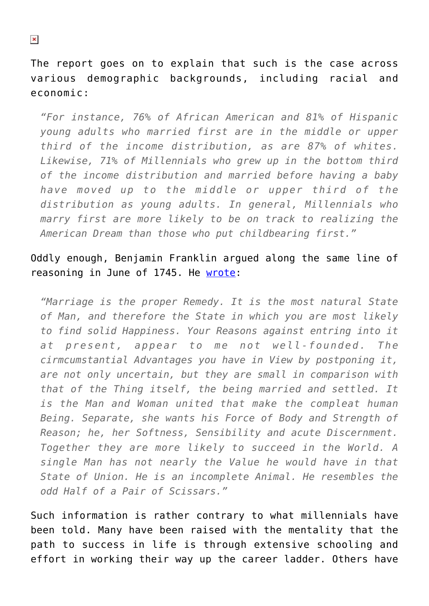The report goes on to explain that such is the case across various demographic backgrounds, including racial and economic:

*"For instance, 76% of African American and 81% of Hispanic young adults who married first are in the middle or upper third of the income distribution, as are 87% of whites. Likewise, 71% of Millennials who grew up in the bottom third of the income distribution and married before having a baby have moved up to the middle or upper third of the distribution as young adults. In general, Millennials who marry first are more likely to be on track to realizing the American Dream than those who put childbearing first."*

## Oddly enough, Benjamin Franklin argued along the same line of reasoning in June of 1745. He [wrote:](http://franklinpapers.org/franklin/framedVolumes.jsp?vol=3&page=027a)

*"Marriage is the proper Remedy. It is the most natural State of Man, and therefore the State in which you are most likely to find solid Happiness. Your Reasons against entring into it at present, appear to me not well-founded. The cirmcumstantial Advantages you have in View by postponing it, are not only uncertain, but they are small in comparison with that of the Thing itself, the being married and settled. It is the Man and Woman united that make the compleat human Being. Separate, she wants his Force of Body and Strength of Reason; he, her Softness, Sensibility and acute Discernment. Together they are more likely to succeed in the World. A single Man has not nearly the Value he would have in that State of Union. He is an incomplete Animal. He resembles the odd Half of a Pair of Scissars."*

Such information is rather contrary to what millennials have been told. Many have been raised with the mentality that the path to success in life is through extensive schooling and effort in working their way up the career ladder. Others have

 $\pmb{\times}$